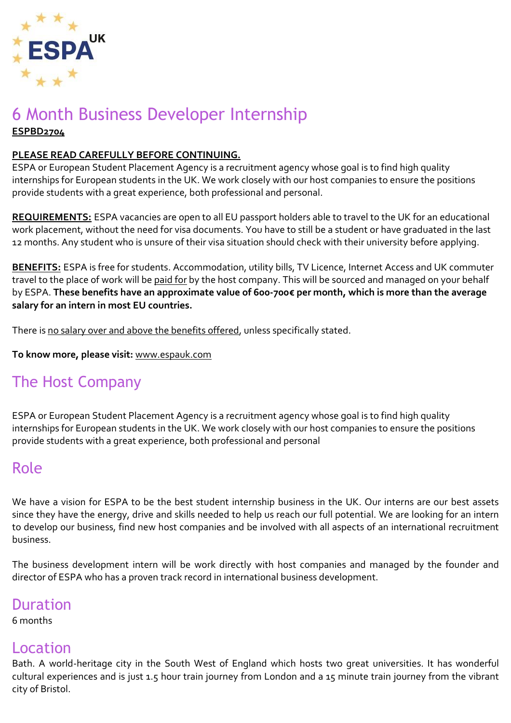

### 6 Month Business Developer Internship **ESPBD2704**

#### **PLEASE READ CAREFULLY BEFORE CONTINUING.**

ESPA or European Student Placement Agency is a recruitment agency whose goal is to find high quality internships for European students in the UK. We work closely with our host companies to ensure the positions provide students with a great experience, both professional and personal.

**REQUIREMENTS:** ESPA vacancies are open to all EU passport holders able to travel to the UK for an educational work placement, without the need for visa documents. You have to still be a student or have graduated in the last 12 months. Any student who is unsure of their visa situation should check with their university before applying.

**BENEFITS:** ESPA is free for students. Accommodation, utility bills, TV Licence, Internet Access and UK commuter travel to the place of work will be paid for by the host company. This will be sourced and managed on your behalf by ESPA. **These benefits have an approximate value of 600-700€ per month, which is more than the average salary for an intern in most EU countries.**

There is no salary over and above the benefits offered, unless specifically stated.

**To know more, please visit:** [www.espauk.com](http://www.espauk.com/)

# The Host Company

ESPA or European Student Placement Agency is a recruitment agency whose goal is to find high quality internships for European students in the UK. We work closely with our host companies to ensure the positions provide students with a great experience, both professional and personal

# Role

We have a vision for ESPA to be the best student internship business in the UK. Our interns are our best assets since they have the energy, drive and skills needed to help us reach our full potential. We are looking for an intern to develop our business, find new host companies and be involved with all aspects of an international recruitment business.

The business development intern will be work directly with host companies and managed by the founder and director of ESPA who has a proven track record in international business development.

## Duration

6 months

#### Location

Bath. A world-heritage city in the South West of England which hosts two great universities. It has wonderful cultural experiences and is just 1.5 hour train journey from London and a 15 minute train journey from the vibrant city of Bristol.